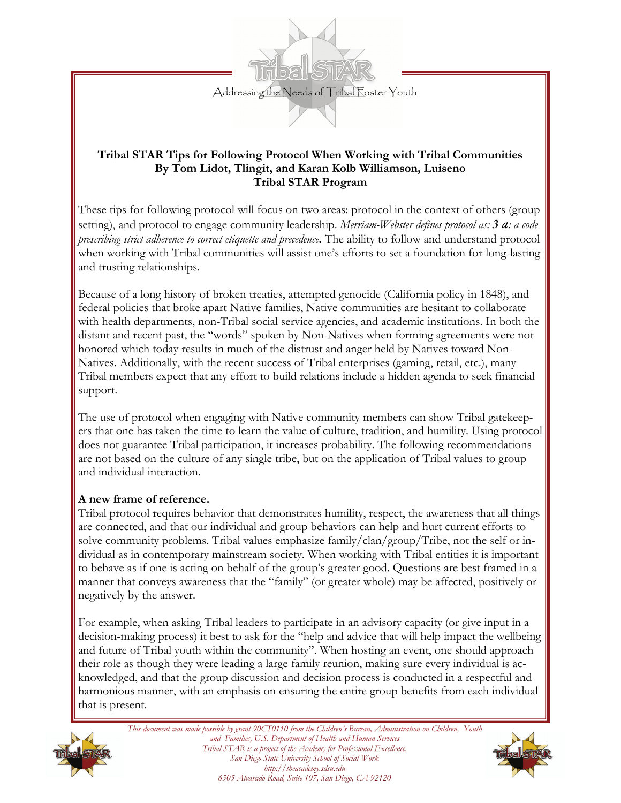

### **Tribal STAR Tips for Following Protocol When Working with Tribal Communities By Tom Lidot, Tlingit, and Karan Kolb Williamson, Luiseno Tribal STAR Program**

These tips for following protocol will focus on two areas: protocol in the context of others (group setting), and protocol to engage community leadership. *Merriam-Webster defines protocol as: 3 a: a code prescribing strict adherence to correct etiquette and precedence.* The ability to follow and understand protocol when working with Tribal communities will assist one's efforts to set a foundation for long-lasting and trusting relationships.

Because of a long history of broken treaties, attempted genocide (California policy in 1848), and federal policies that broke apart Native families, Native communities are hesitant to collaborate with health departments, non-Tribal social service agencies, and academic institutions. In both the distant and recent past, the "words" spoken by Non-Natives when forming agreements were not honored which today results in much of the distrust and anger held by Natives toward Non-Natives. Additionally, with the recent success of Tribal enterprises (gaming, retail, etc.), many Tribal members expect that any effort to build relations include a hidden agenda to seek financial support.

The use of protocol when engaging with Native community members can show Tribal gatekeepers that one has taken the time to learn the value of culture, tradition, and humility. Using protocol does not guarantee Tribal participation, it increases probability. The following recommendations are not based on the culture of any single tribe, but on the application of Tribal values to group and individual interaction.

### **A new frame of reference.**

Tribal protocol requires behavior that demonstrates humility, respect, the awareness that all things are connected, and that our individual and group behaviors can help and hurt current efforts to solve community problems. Tribal values emphasize family/clan/group/Tribe, not the self or individual as in contemporary mainstream society. When working with Tribal entities it is important to behave as if one is acting on behalf of the group's greater good. Questions are best framed in a manner that conveys awareness that the "family" (or greater whole) may be affected, positively or negatively by the answer.

For example, when asking Tribal leaders to participate in an advisory capacity (or give input in a decision-making process) it best to ask for the "help and advice that will help impact the wellbeing and future of Tribal youth within the community". When hosting an event, one should approach their role as though they were leading a large family reunion, making sure every individual is acknowledged, and that the group discussion and decision process is conducted in a respectful and harmonious manner, with an emphasis on ensuring the entire group benefits from each individual that is present.



*This document was made possible by grant 90CT0110 from the Children's Bureau, Administration on Children, Youth and Families, U.S. Department of Health and Human Services Tribal STAR is a project of the Academy for Professional Excellence, San Diego State University School of Social Work http://theacademy.sdsu.edu 6505 Alvarado Road, Suite 107, San Diego, CA 92120*